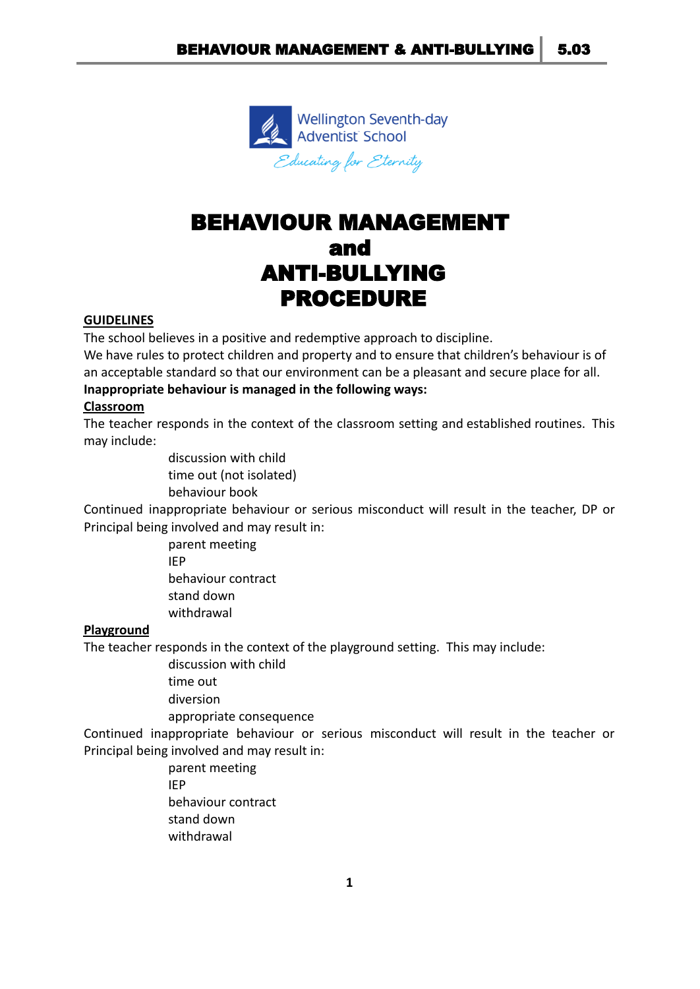

# BEHAVIOUR MANAGEMENT and ANTI-BULLYING PROCEDURE

#### **GUIDELINES**

The school believes in a positive and redemptive approach to discipline.

We have rules to protect children and property and to ensure that children's behaviour is of an acceptable standard so that our environment can be a pleasant and secure place for all. **Inappropriate behaviour is managed in the following ways:**

### **Classroom**

The teacher responds in the context of the classroom setting and established routines. This may include:

> discussion with child time out (not isolated) behaviour book

Continued inappropriate behaviour or serious misconduct will result in the teacher, DP or Principal being involved and may result in:

> parent meeting IEP behaviour contract stand down withdrawal

### **Playground**

The teacher responds in the context of the playground setting. This may include:

discussion with child

time out

diversion

appropriate consequence

Continued inappropriate behaviour or serious misconduct will result in the teacher or Principal being involved and may result in:

> parent meeting IEP behaviour contract stand down withdrawal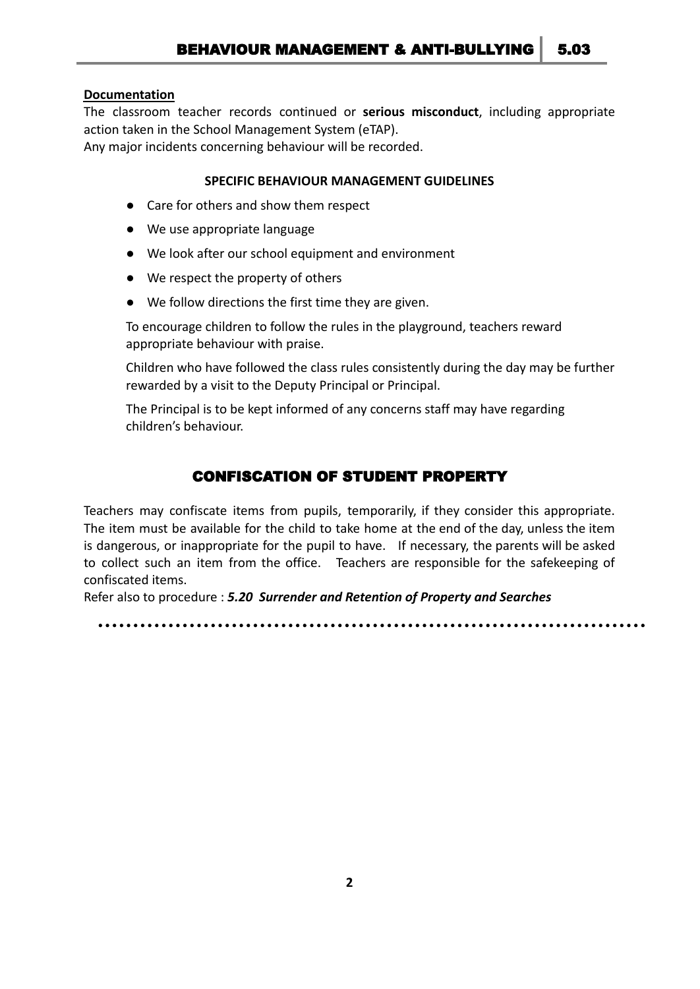#### **Documentation**

The classroom teacher records continued or **serious misconduct**, including appropriate action taken in the School Management System (eTAP).

Any major incidents concerning behaviour will be recorded.

### **SPECIFIC BEHAVIOUR MANAGEMENT GUIDELINES**

- Care for others and show them respect
- We use appropriate language
- We look after our school equipment and environment
- We respect the property of others
- We follow directions the first time they are given.

To encourage children to follow the rules in the playground, teachers reward appropriate behaviour with praise.

Children who have followed the class rules consistently during the day may be further rewarded by a visit to the Deputy Principal or Principal.

The Principal is to be kept informed of any concerns staff may have regarding children's behaviour.

# CONFISCATION OF STUDENT PROPERTY

Teachers may confiscate items from pupils, temporarily, if they consider this appropriate. The item must be available for the child to take home at the end of the day, unless the item is dangerous, or inappropriate for the pupil to have. If necessary, the parents will be asked to collect such an item from the office. Teachers are responsible for the safekeeping of confiscated items.

Refer also to procedure : *5.20 Surrender and Retention of Property and Searches*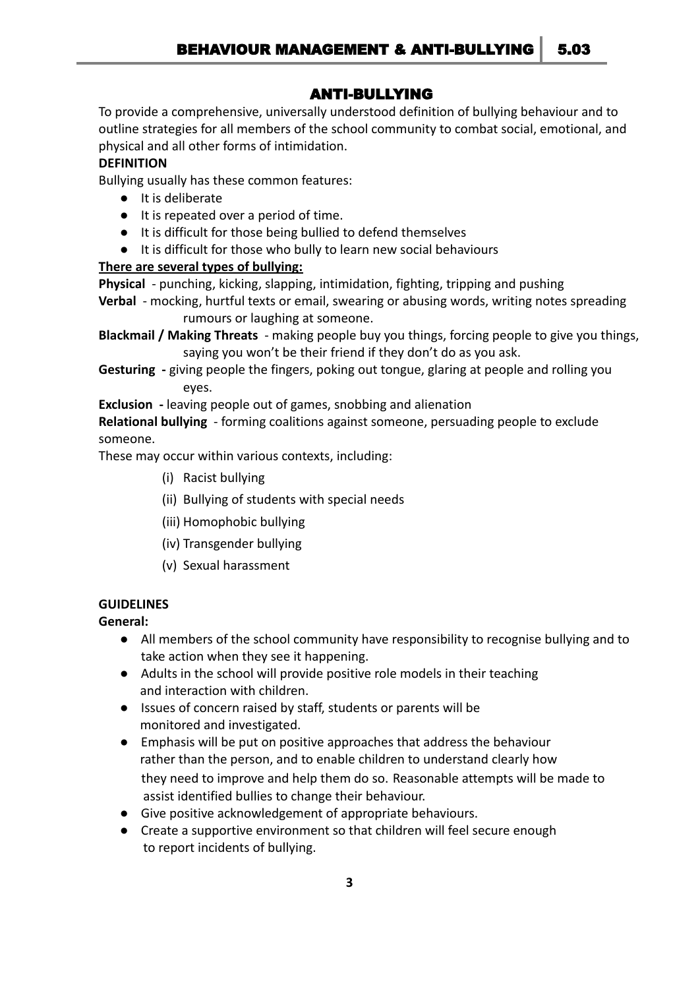# ANTI-BULLYING

To provide a comprehensive, universally understood definition of bullying behaviour and to outline strategies for all members of the school community to combat social, emotional, and physical and all other forms of intimidation.

# **DEFINITION**

Bullying usually has these common features:

- It is deliberate
- It is repeated over a period of time.
- It is difficult for those being bullied to defend themselves
- It is difficult for those who bully to learn new social behaviours

# **There are several types of bullying:**

**Physical** - punching, kicking, slapping, intimidation, fighting, tripping and pushing

**Verbal** - mocking, hurtful texts or email, swearing or abusing words, writing notes spreading rumours or laughing at someone.

**Blackmail / Making Threats** - making people buy you things, forcing people to give you things, saying you won't be their friend if they don't do as you ask.

**Gesturing -** giving people the fingers, poking out tongue, glaring at people and rolling you eyes.

**Exclusion -** leaving people out of games, snobbing and alienation

**Relational bullying** - forming coalitions against someone, persuading people to exclude someone.

These may occur within various contexts, including:

- (i) Racist bullying
- (ii) Bullying of students with special needs
- (iii) Homophobic bullying
- (iv) Transgender bullying
- (v) Sexual harassment

# **GUIDELINES**

**General:**

- All members of the school community have responsibility to recognise bullying and to take action when they see it happening.
- Adults in the school will provide positive role models in their teaching and interaction with children.
- Issues of concern raised by staff, students or parents will be monitored and investigated.
- Emphasis will be put on positive approaches that address the behaviour rather than the person, and to enable children to understand clearly how they need to improve and help them do so. Reasonable attempts will be made to assist identified bullies to change their behaviour.
- Give positive acknowledgement of appropriate behaviours.
- Create a supportive environment so that children will feel secure enough to report incidents of bullying.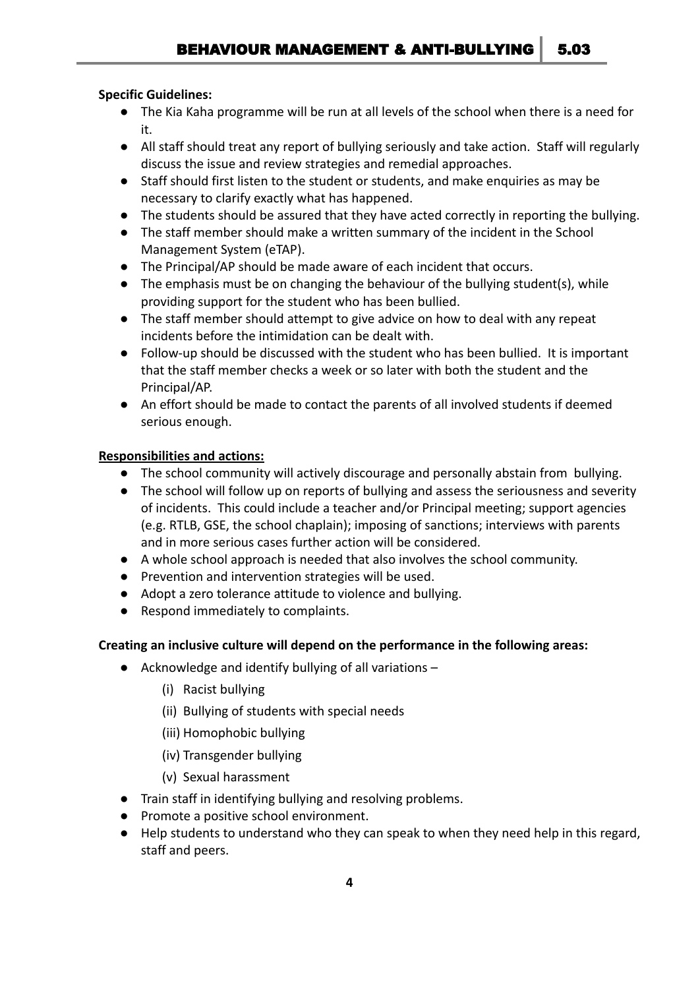# **Specific Guidelines:**

- The Kia Kaha programme will be run at all levels of the school when there is a need for it.
- All staff should treat any report of bullying seriously and take action. Staff will regularly discuss the issue and review strategies and remedial approaches.
- Staff should first listen to the student or students, and make enquiries as may be necessary to clarify exactly what has happened.
- The students should be assured that they have acted correctly in reporting the bullying.
- The staff member should make a written summary of the incident in the School Management System (eTAP).
- The Principal/AP should be made aware of each incident that occurs.
- The emphasis must be on changing the behaviour of the bullying student(s), while providing support for the student who has been bullied.
- The staff member should attempt to give advice on how to deal with any repeat incidents before the intimidation can be dealt with.
- Follow-up should be discussed with the student who has been bullied. It is important that the staff member checks a week or so later with both the student and the Principal/AP.
- An effort should be made to contact the parents of all involved students if deemed serious enough.

# **Responsibilities and actions:**

- The school community will actively discourage and personally abstain from bullying.
- The school will follow up on reports of bullying and assess the seriousness and severity of incidents. This could include a teacher and/or Principal meeting; support agencies (e.g. RTLB, GSE, the school chaplain); imposing of sanctions; interviews with parents and in more serious cases further action will be considered.
- A whole school approach is needed that also involves the school community.
- Prevention and intervention strategies will be used.
- Adopt a zero tolerance attitude to violence and bullying.
- Respond immediately to complaints.

# **Creating an inclusive culture will depend on the performance in the following areas:**

- Acknowledge and identify bullying of all variations
	- (i) Racist bullying
	- (ii) Bullying of students with special needs
	- (iii) Homophobic bullying
	- (iv) Transgender bullying
	- (v) Sexual harassment
- Train staff in identifying bullying and resolving problems.
- Promote a positive school environment.
- Help students to understand who they can speak to when they need help in this regard, staff and peers.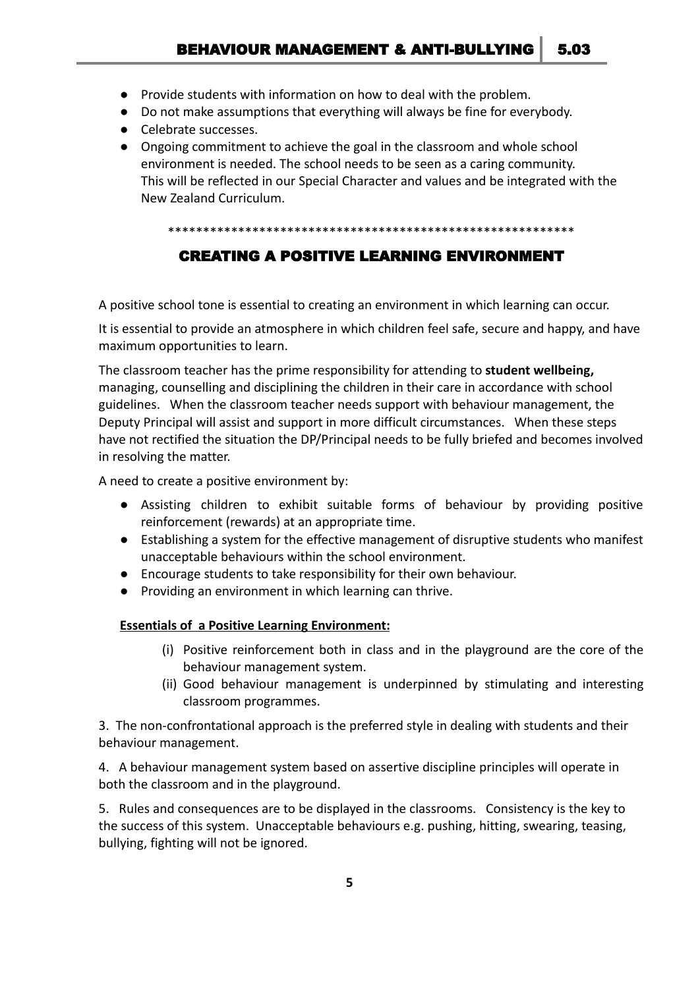- Provide students with information on how to deal with the problem.
- Do not make assumptions that everything will always be fine for everybody.
- Celebrate successes.
- Ongoing commitment to achieve the goal in the classroom and whole school environment is needed. The school needs to be seen as a caring community. This will be reflected in our Special Character and values and be integrated with the New Zealand Curriculum.

#### \*\*\*\*\*\*\*\*\*\*\*\*\*\*\*\*\*\*\*\*\*\*\*\*\*\*\*\*\*\*\*\*\*\*\*\*\*\*\*\*\*\*\*\*\*\*\*\*\*\*\*\*\*\*\*\*\*\*

# CREATING A POSITIVE LEARNING ENVIRONMENT

A positive school tone is essential to creating an environment in which learning can occur.

It is essential to provide an atmosphere in which children feel safe, secure and happy, and have maximum opportunities to learn.

The classroom teacher has the prime responsibility for attending to **student wellbeing,** managing, counselling and disciplining the children in their care in accordance with school guidelines. When the classroom teacher needs support with behaviour management, the Deputy Principal will assist and support in more difficult circumstances. When these steps have not rectified the situation the DP/Principal needs to be fully briefed and becomes involved in resolving the matter.

A need to create a positive environment by:

- Assisting children to exhibit suitable forms of behaviour by providing positive reinforcement (rewards) at an appropriate time.
- Establishing a system for the effective management of disruptive students who manifest unacceptable behaviours within the school environment.
- Encourage students to take responsibility for their own behaviour.
- Providing an environment in which learning can thrive.

### **Essentials of a Positive Learning Environment:**

- (i) Positive reinforcement both in class and in the playground are the core of the behaviour management system.
- (ii) Good behaviour management is underpinned by stimulating and interesting classroom programmes.

3. The non-confrontational approach is the preferred style in dealing with students and their behaviour management.

4. A behaviour management system based on assertive discipline principles will operate in both the classroom and in the playground.

5. Rules and consequences are to be displayed in the classrooms. Consistency is the key to the success of this system. Unacceptable behaviours e.g. pushing, hitting, swearing, teasing, bullying, fighting will not be ignored.